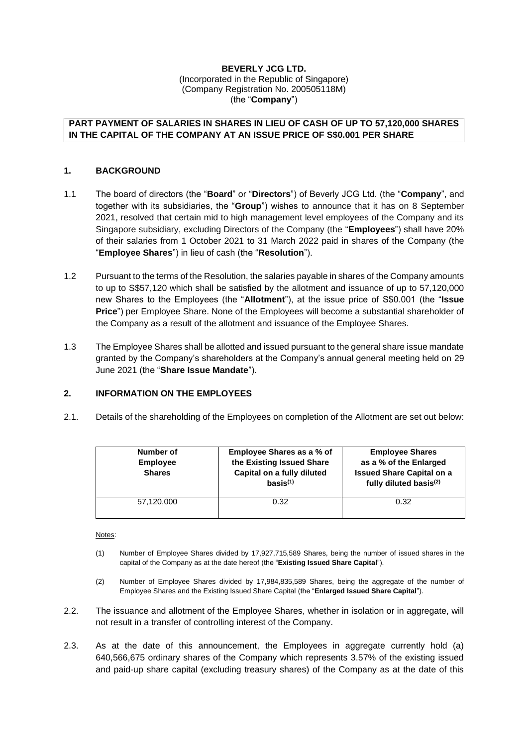#### **BEVERLY JCG LTD.** (Incorporated in the Republic of Singapore) (Company Registration No. 200505118M) (the "**Company**")

## **PART PAYMENT OF SALARIES IN SHARES IN LIEU OF CASH OF UP TO 57,120,000 SHARES IN THE CAPITAL OF THE COMPANY AT AN ISSUE PRICE OF S\$0.001 PER SHARE**

## **1. BACKGROUND**

- 1.1 The board of directors (the "**Board**" or "**Directors**") of Beverly JCG Ltd. (the "**Company**", and together with its subsidiaries, the "**Group**") wishes to announce that it has on 8 September 2021, resolved that certain mid to high management level employees of the Company and its Singapore subsidiary, excluding Directors of the Company (the "**Employees**") shall have 20% of their salaries from 1 October 2021 to 31 March 2022 paid in shares of the Company (the "**Employee Shares**") in lieu of cash (the "**Resolution**").
- 1.2 Pursuant to the terms of the Resolution, the salaries payable in shares of the Company amounts to up to S\$57,120 which shall be satisfied by the allotment and issuance of up to 57,120,000 new Shares to the Employees (the "**Allotment**"), at the issue price of S\$0.001 (the "**Issue Price**") per Employee Share. None of the Employees will become a substantial shareholder of the Company as a result of the allotment and issuance of the Employee Shares.
- 1.3 The Employee Shares shall be allotted and issued pursuant to the general share issue mandate granted by the Company's shareholders at the Company's annual general meeting held on 29 June 2021 (the "**Share Issue Mandate**").

# **2. INFORMATION ON THE EMPLOYEES**

2.1. Details of the shareholding of the Employees on completion of the Allotment are set out below:

| Number of<br><b>Employee</b><br><b>Shares</b> | Employee Shares as a % of<br>the Existing Issued Share<br>Capital on a fully diluted<br>basis <sup>(1)</sup> | <b>Employee Shares</b><br>as a % of the Enlarged<br><b>Issued Share Capital on a</b><br>fully diluted basis <sup>(2)</sup> |
|-----------------------------------------------|--------------------------------------------------------------------------------------------------------------|----------------------------------------------------------------------------------------------------------------------------|
| 57,120,000                                    | 0.32                                                                                                         | 0.32                                                                                                                       |

Notes:

- (1) Number of Employee Shares divided by 17,927,715,589 Shares, being the number of issued shares in the capital of the Company as at the date hereof (the "**Existing Issued Share Capital**").
- (2) Number of Employee Shares divided by 17,984,835,589 Shares, being the aggregate of the number of Employee Shares and the Existing Issued Share Capital (the "**Enlarged Issued Share Capital**").
- 2.2. The issuance and allotment of the Employee Shares, whether in isolation or in aggregate, will not result in a transfer of controlling interest of the Company.
- 2.3. As at the date of this announcement, the Employees in aggregate currently hold (a) 640,566,675 ordinary shares of the Company which represents 3.57% of the existing issued and paid-up share capital (excluding treasury shares) of the Company as at the date of this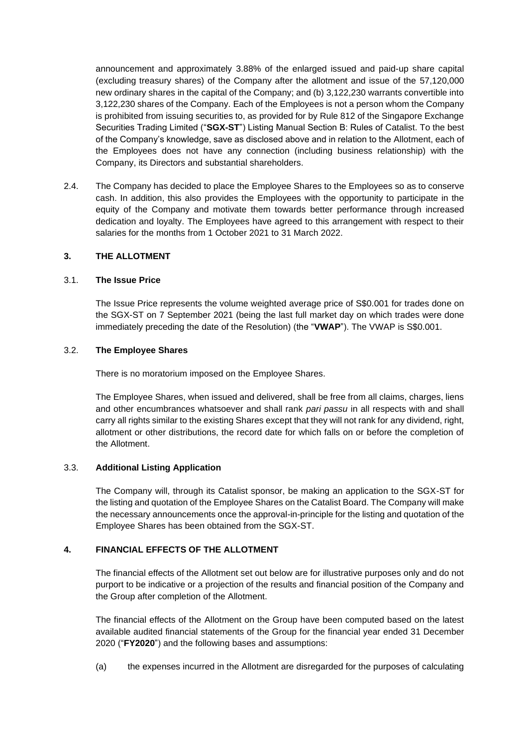announcement and approximately 3.88% of the enlarged issued and paid-up share capital (excluding treasury shares) of the Company after the allotment and issue of the 57,120,000 new ordinary shares in the capital of the Company; and (b) 3,122,230 warrants convertible into 3,122,230 shares of the Company. Each of the Employees is not a person whom the Company is prohibited from issuing securities to, as provided for by Rule 812 of the Singapore Exchange Securities Trading Limited ("**SGX-ST**") Listing Manual Section B: Rules of Catalist. To the best of the Company's knowledge, save as disclosed above and in relation to the Allotment, each of the Employees does not have any connection (including business relationship) with the Company, its Directors and substantial shareholders.

2.4. The Company has decided to place the Employee Shares to the Employees so as to conserve cash. In addition, this also provides the Employees with the opportunity to participate in the equity of the Company and motivate them towards better performance through increased dedication and loyalty. The Employees have agreed to this arrangement with respect to their salaries for the months from 1 October 2021 to 31 March 2022.

# **3. THE ALLOTMENT**

#### 3.1. **The Issue Price**

The Issue Price represents the volume weighted average price of S\$0.001 for trades done on the SGX-ST on 7 September 2021 (being the last full market day on which trades were done immediately preceding the date of the Resolution) (the "**VWAP**"). The VWAP is S\$0.001.

#### 3.2. **The Employee Shares**

There is no moratorium imposed on the Employee Shares.

The Employee Shares, when issued and delivered, shall be free from all claims, charges, liens and other encumbrances whatsoever and shall rank *pari passu* in all respects with and shall carry all rights similar to the existing Shares except that they will not rank for any dividend, right, allotment or other distributions, the record date for which falls on or before the completion of the Allotment.

# 3.3. **Additional Listing Application**

The Company will, through its Catalist sponsor, be making an application to the SGX-ST for the listing and quotation of the Employee Shares on the Catalist Board. The Company will make the necessary announcements once the approval-in-principle for the listing and quotation of the Employee Shares has been obtained from the SGX-ST.

# **4. FINANCIAL EFFECTS OF THE ALLOTMENT**

The financial effects of the Allotment set out below are for illustrative purposes only and do not purport to be indicative or a projection of the results and financial position of the Company and the Group after completion of the Allotment.

The financial effects of the Allotment on the Group have been computed based on the latest available audited financial statements of the Group for the financial year ended 31 December 2020 ("**FY2020**") and the following bases and assumptions:

(a) the expenses incurred in the Allotment are disregarded for the purposes of calculating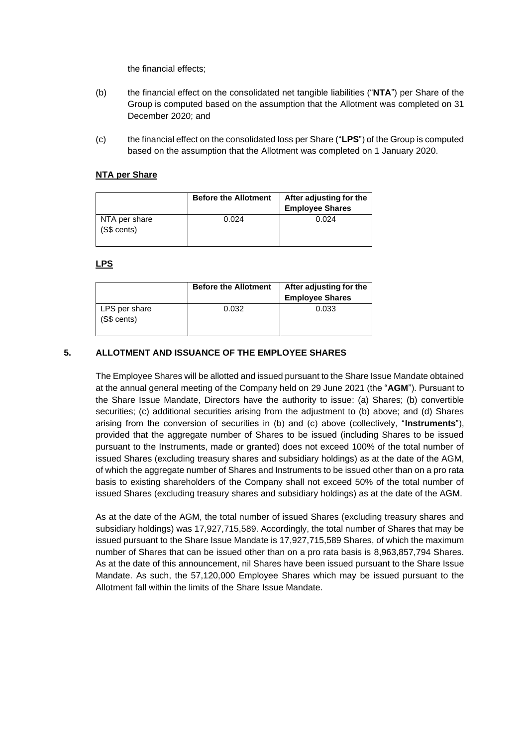the financial effects;

- (b) the financial effect on the consolidated net tangible liabilities ("**NTA**") per Share of the Group is computed based on the assumption that the Allotment was completed on 31 December 2020; and
- (c) the financial effect on the consolidated loss per Share ("**LPS**") of the Group is computed based on the assumption that the Allotment was completed on 1 January 2020.

## **NTA per Share**

|                              | <b>Before the Allotment</b> | After adjusting for the<br><b>Employee Shares</b> |
|------------------------------|-----------------------------|---------------------------------------------------|
| NTA per share<br>(S\$ cents) | 0.024                       | 0.024                                             |

#### **LPS**

|                              | <b>Before the Allotment</b> | After adjusting for the<br><b>Employee Shares</b> |
|------------------------------|-----------------------------|---------------------------------------------------|
| LPS per share<br>(S\$ cents) | 0.032                       | 0.033                                             |

# **5. ALLOTMENT AND ISSUANCE OF THE EMPLOYEE SHARES**

The Employee Shares will be allotted and issued pursuant to the Share Issue Mandate obtained at the annual general meeting of the Company held on 29 June 2021 (the "**AGM**"). Pursuant to the Share Issue Mandate, Directors have the authority to issue: (a) Shares; (b) convertible securities; (c) additional securities arising from the adjustment to (b) above; and (d) Shares arising from the conversion of securities in (b) and (c) above (collectively, "**Instruments**"), provided that the aggregate number of Shares to be issued (including Shares to be issued pursuant to the Instruments, made or granted) does not exceed 100% of the total number of issued Shares (excluding treasury shares and subsidiary holdings) as at the date of the AGM, of which the aggregate number of Shares and Instruments to be issued other than on a pro rata basis to existing shareholders of the Company shall not exceed 50% of the total number of issued Shares (excluding treasury shares and subsidiary holdings) as at the date of the AGM.

As at the date of the AGM, the total number of issued Shares (excluding treasury shares and subsidiary holdings) was 17,927,715,589. Accordingly, the total number of Shares that may be issued pursuant to the Share Issue Mandate is 17,927,715,589 Shares, of which the maximum number of Shares that can be issued other than on a pro rata basis is 8,963,857,794 Shares. As at the date of this announcement, nil Shares have been issued pursuant to the Share Issue Mandate. As such, the 57,120,000 Employee Shares which may be issued pursuant to the Allotment fall within the limits of the Share Issue Mandate.